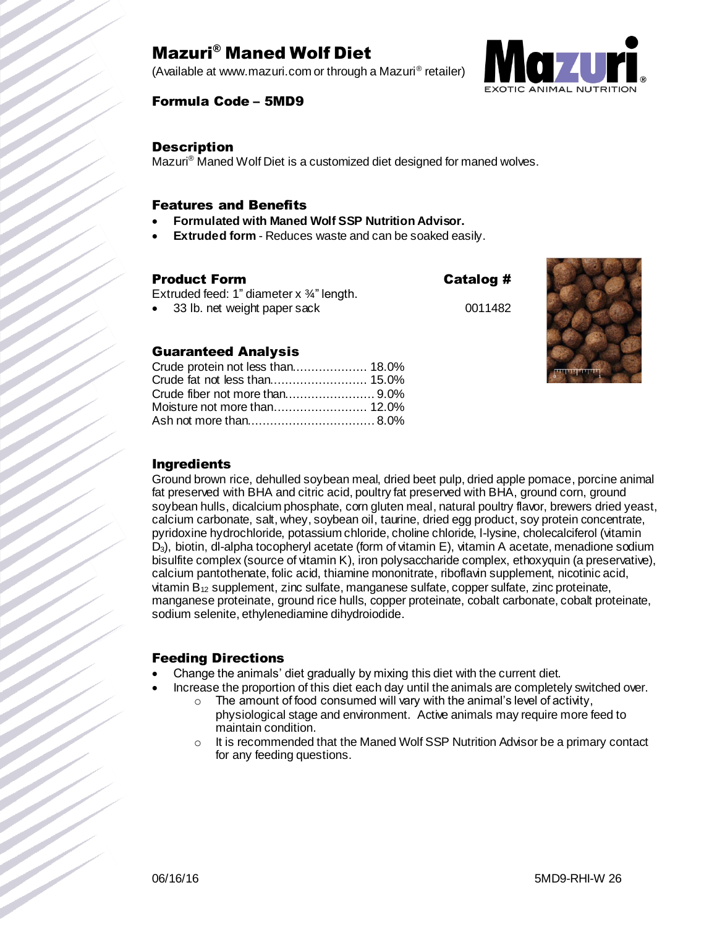## Mazuri® Maned Wolf Diet

(Available at www.mazuri.com or through a Mazuri® retailer)



#### Formula Code – 5MD9

#### **Description**

Mazuri<sup>®</sup> Maned Wolf Diet is a customized diet designed for maned wolves.

#### Features and Benefits

- **Formulated with Maned Wolf SSP Nutrition Advisor.**
- **Extruded form** Reduces waste and can be soaked easily.

#### Product Form Catalog #

Extruded feed: 1" diameter x ¾" length.

Crude protein not less than.................... 18.0% Crude fat not less than.......................... 15.0% Crude fiber not more than........................ 9.0%

• 33 lb. net weight paper sack 0011482

Guaranteed Analysis



#### Moisture not more than......................... 12.0% Ash not more than.................................. 8.0%

#### Ingredients

Ground brown rice, dehulled soybean meal, dried beet pulp, dried apple pomace, porcine animal fat preserved with BHA and citric acid, poultry fat preserved with BHA, ground corn, ground soybean hulls, dicalcium phosphate, corn gluten meal, natural poultry flavor, brewers dried yeast, calcium carbonate, salt, whey, soybean oil, taurine, dried egg product, soy protein concentrate, pyridoxine hydrochloride, potassium chloride, choline chloride, l-lysine, cholecalciferol (vitamin D3), biotin, dl-alpha tocopheryl acetate (form of vitamin E), vitamin A acetate, menadione sodium bisulfite complex (source of vitamin K), iron polysaccharide complex, ethoxyquin (a preservative), calcium pantothenate, folic acid, thiamine mononitrate, riboflavin supplement, nicotinic acid, vitamin  $B_{12}$  supplement, zinc sulfate, manganese sulfate, copper sulfate, zinc proteinate, manganese proteinate, ground rice hulls, copper proteinate, cobalt carbonate, cobalt proteinate, sodium selenite, ethylenediamine dihydroiodide.

#### Feeding Directions

- Change the animals' diet gradually by mixing this diet with the current diet.
	- Increase the proportion of this diet each day until the animals are completely switched over.
		- $\circ$  The amount of food consumed will vary with the animal's level of activity, physiological stage and environment. Active animals may require more feed to maintain condition.
		- $\circ$  It is recommended that the Maned Wolf SSP Nutrition Advisor be a primary contact for any feeding questions.